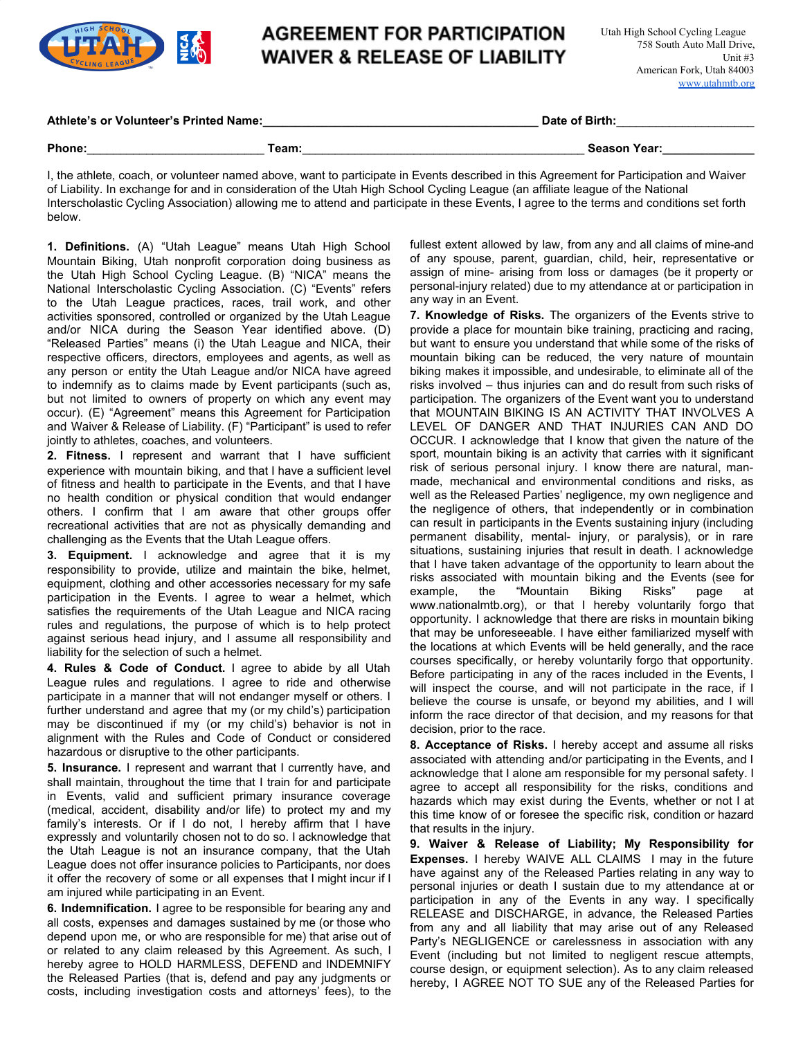

### **AGREEMENT FOR PARTICIPATION WAIVER & RELEASE OF LIABILITY**

#### **Athlete's or Volunteer's Printed Name:\_\_\_\_\_\_\_\_\_\_\_\_\_\_\_\_\_\_\_\_\_\_\_\_\_\_\_\_\_\_\_\_\_\_\_\_\_\_\_\_\_\_ Date of Birth:**\_\_\_\_\_\_\_\_\_\_\_\_\_\_\_\_\_\_\_\_\_

**Phone:**\_\_\_\_\_\_\_\_\_\_\_\_\_\_\_\_\_\_\_\_\_\_\_\_\_\_\_ **Team:**\_\_\_\_\_\_\_\_\_\_\_\_\_\_\_\_\_\_\_\_\_\_\_\_\_\_\_\_\_\_\_\_\_\_\_\_\_\_\_\_\_\_\_ **Season Year:\_\_\_\_\_\_\_\_\_\_\_\_\_\_**

I, the athlete, coach, or volunteer named above, want to participate in Events described in this Agreement for Participation and Waiver of Liability. In exchange for and in consideration of the Utah High School Cycling League (an affiliate league of the National Interscholastic Cycling Association) allowing me to attend and participate in these Events, I agree to the terms and conditions set forth below.

**1. Definitions.** (A) "Utah League" means Utah High School Mountain Biking, Utah nonprofit corporation doing business as the Utah High School Cycling League. (B) "NICA" means the National Interscholastic Cycling Association. (C) "Events" refers to the Utah League practices, races, trail work, and other activities sponsored, controlled or organized by the Utah League and/or NICA during the Season Year identified above. (D) "Released Parties" means (i) the Utah League and NICA, their respective officers, directors, employees and agents, as well as any person or entity the Utah League and/or NICA have agreed to indemnify as to claims made by Event participants (such as, but not limited to owners of property on which any event may occur). (E) "Agreement" means this Agreement for Participation and Waiver & Release of Liability. (F) "Participant" is used to refer jointly to athletes, coaches, and volunteers.

**2. Fitness.** I represent and warrant that I have sufficient experience with mountain biking, and that I have a sufficient level of fitness and health to participate in the Events, and that I have no health condition or physical condition that would endanger others. I confirm that I am aware that other groups offer recreational activities that are not as physically demanding and challenging as the Events that the Utah League offers.

**3. Equipment.** I acknowledge and agree that it is my responsibility to provide, utilize and maintain the bike, helmet, equipment, clothing and other accessories necessary for my safe participation in the Events. I agree to wear a helmet, which satisfies the requirements of the Utah League and NICA racing rules and regulations, the purpose of which is to help protect against serious head injury, and I assume all responsibility and liability for the selection of such a helmet.

**4. Rules & Code of Conduct.** I agree to abide by all Utah League rules and regulations. I agree to ride and otherwise participate in a manner that will not endanger myself or others. I further understand and agree that my (or my child's) participation may be discontinued if my (or my child's) behavior is not in alignment with the Rules and Code of Conduct or considered hazardous or disruptive to the other participants.

**5. Insurance.** I represent and warrant that I currently have, and shall maintain, throughout the time that I train for and participate in Events, valid and sufficient primary insurance coverage (medical, accident, disability and/or life) to protect my and my family's interests. Or if I do not, I hereby affirm that I have expressly and voluntarily chosen not to do so. I acknowledge that the Utah League is not an insurance company, that the Utah League does not offer insurance policies to Participants, nor does it offer the recovery of some or all expenses that I might incur if I am injured while participating in an Event.

**6. Indemnification.** I agree to be responsible for bearing any and all costs, expenses and damages sustained by me (or those who depend upon me, or who are responsible for me) that arise out of or related to any claim released by this Agreement. As such, I hereby agree to HOLD HARMLESS, DEFEND and INDEMNIFY the Released Parties (that is, defend and pay any judgments or costs, including investigation costs and attorneys' fees), to the

fullest extent allowed by law, from any and all claims of mine-and of any spouse, parent, guardian, child, heir, representative or assign of mine- arising from loss or damages (be it property or personal-injury related) due to my attendance at or participation in any way in an Event.

**7. Knowledge of Risks.** The organizers of the Events strive to provide a place for mountain bike training, practicing and racing, but want to ensure you understand that while some of the risks of mountain biking can be reduced, the very nature of mountain biking makes it impossible, and undesirable, to eliminate all of the risks involved – thus injuries can and do result from such risks of participation. The organizers of the Event want you to understand that MOUNTAIN BIKING IS AN ACTIVITY THAT INVOLVES A LEVEL OF DANGER AND THAT INJURIES CAN AND DO OCCUR. I acknowledge that I know that given the nature of the sport, mountain biking is an activity that carries with it significant risk of serious personal injury. I know there are natural, manmade, mechanical and environmental conditions and risks, as well as the Released Parties' negligence, my own negligence and the negligence of others, that independently or in combination can result in participants in the Events sustaining injury (including permanent disability, mental- injury, or paralysis), or in rare situations, sustaining injuries that result in death. I acknowledge that I have taken advantage of the opportunity to learn about the risks associated with mountain biking and the Events (see for example, the "Mountain Biking Risks" page at www.nationalmtb.org), or that I hereby voluntarily forgo that opportunity. I acknowledge that there are risks in mountain biking that may be unforeseeable. I have either familiarized myself with the locations at which Events will be held generally, and the race courses specifically, or hereby voluntarily forgo that opportunity. Before participating in any of the races included in the Events, I will inspect the course, and will not participate in the race, if I believe the course is unsafe, or beyond my abilities, and I will inform the race director of that decision, and my reasons for that decision, prior to the race.

**8. Acceptance of Risks.** I hereby accept and assume all risks associated with attending and/or participating in the Events, and I acknowledge that I alone am responsible for my personal safety. I agree to accept all responsibility for the risks, conditions and hazards which may exist during the Events, whether or not I at this time know of or foresee the specific risk, condition or hazard that results in the injury.

**9. Waiver & Release of Liability; My Responsibility for Expenses.** I hereby WAIVE ALL CLAIMS I may in the future have against any of the Released Parties relating in any way to personal injuries or death I sustain due to my attendance at or participation in any of the Events in any way. I specifically RELEASE and DISCHARGE, in advance, the Released Parties from any and all liability that may arise out of any Released Party's NEGLIGENCE or carelessness in association with any Event (including but not limited to negligent rescue attempts, course design, or equipment selection). As to any claim released hereby, I AGREE NOT TO SUE any of the Released Parties for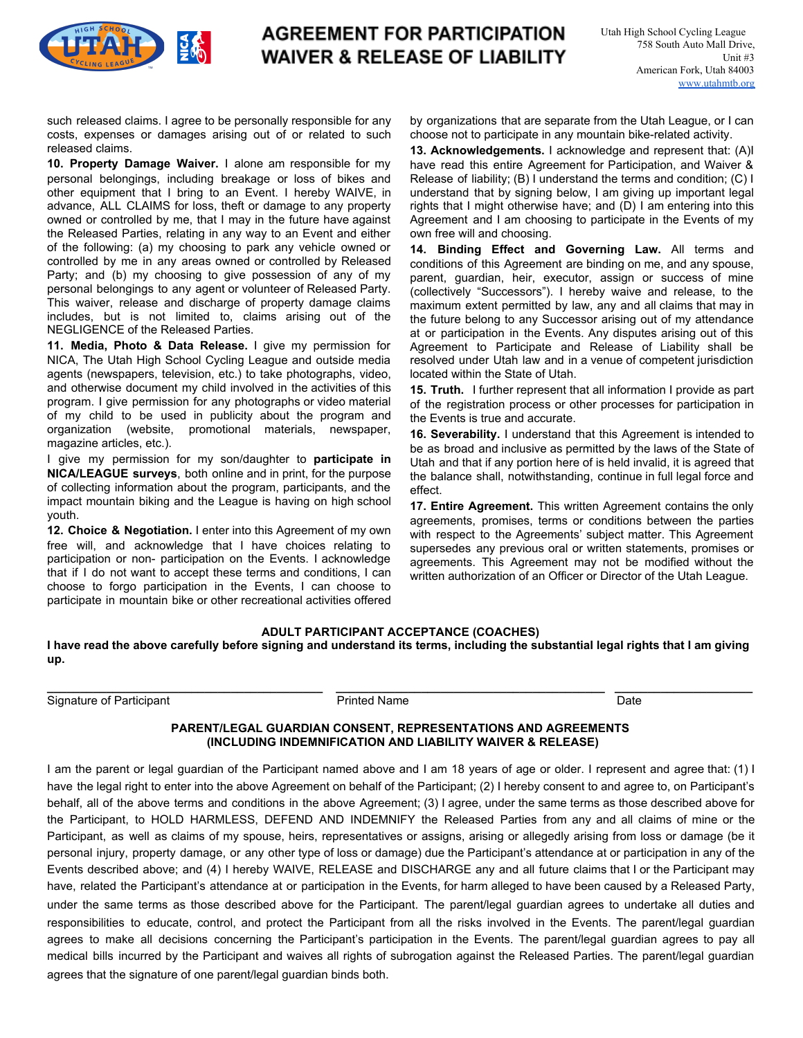

## **AGREEMENT FOR PARTICIPATION WAIVER & RELEASE OF LIABILITY**

such released claims. I agree to be personally responsible for any costs, expenses or damages arising out of or related to such released claims.

**10. Property Damage Waiver.** I alone am responsible for my personal belongings, including breakage or loss of bikes and other equipment that I bring to an Event. I hereby WAIVE, in advance, ALL CLAIMS for loss, theft or damage to any property owned or controlled by me, that I may in the future have against the Released Parties, relating in any way to an Event and either of the following: (a) my choosing to park any vehicle owned or controlled by me in any areas owned or controlled by Released Party; and (b) my choosing to give possession of any of my personal belongings to any agent or volunteer of Released Party. This waiver, release and discharge of property damage claims includes, but is not limited to, claims arising out of the NEGLIGENCE of the Released Parties.

**11. Media, Photo & Data Release.** I give my permission for NICA, The Utah High School Cycling League and outside media agents (newspapers, television, etc.) to take photographs, video, and otherwise document my child involved in the activities of this program. I give permission for any photographs or video material of my child to be used in publicity about the program and organization (website, promotional materials, newspaper, magazine articles, etc.).

I give my permission for my son/daughter to **participate in NICA/LEAGUE surveys**, both online and in print, for the purpose of collecting information about the program, participants, and the impact mountain biking and the League is having on high school youth.

**12. Choice & Negotiation.** I enter into this Agreement of my own free will, and acknowledge that I have choices relating to participation or non- participation on the Events. I acknowledge that if I do not want to accept these terms and conditions, I can choose to forgo participation in the Events, I can choose to participate in mountain bike or other recreational activities offered by organizations that are separate from the Utah League, or I can choose not to participate in any mountain bike-related activity.

**13. Acknowledgements.** I acknowledge and represent that: (A)I have read this entire Agreement for Participation, and Waiver & Release of liability; (B) I understand the terms and condition; (C) I understand that by signing below, I am giving up important legal rights that I might otherwise have; and (D) I am entering into this Agreement and I am choosing to participate in the Events of my own free will and choosing.

**14. Binding Effect and Governing Law.** All terms and conditions of this Agreement are binding on me, and any spouse, parent, guardian, heir, executor, assign or success of mine (collectively "Successors"). I hereby waive and release, to the maximum extent permitted by law, any and all claims that may in the future belong to any Successor arising out of my attendance at or participation in the Events. Any disputes arising out of this Agreement to Participate and Release of Liability shall be resolved under Utah law and in a venue of competent jurisdiction located within the State of Utah.

**15. Truth.** I further represent that all information I provide as part of the registration process or other processes for participation in the Events is true and accurate.

**16. Severability.** I understand that this Agreement is intended to be as broad and inclusive as permitted by the laws of the State of Utah and that if any portion here of is held invalid, it is agreed that the balance shall, notwithstanding, continue in full legal force and effect.

**17. Entire Agreement.** This written Agreement contains the only agreements, promises, terms or conditions between the parties with respect to the Agreements' subject matter. This Agreement supersedes any previous oral or written statements, promises or agreements. This Agreement may not be modified without the written authorization of an Officer or Director of the Utah League.

### **ADULT PARTICIPANT ACCEPTANCE (COACHES)**

**I have read the above carefully before signing and understand its terms, including the substantial legal rights that I am giving up.**

**\_\_\_\_\_\_\_\_\_\_\_\_\_\_\_\_\_\_\_\_\_\_\_\_\_\_\_\_\_\_\_\_\_\_\_\_\_\_\_\_\_\_ \_\_\_\_\_\_\_\_\_\_\_\_\_\_\_\_\_\_\_\_\_\_\_\_\_\_\_\_\_\_\_\_\_\_\_\_\_\_\_\_\_ \_\_\_\_\_\_\_\_\_\_\_\_\_\_\_\_\_\_\_\_\_**

Signature of Participant **Printed Name** Printed Name **Date** Date

### **PARENT/LEGAL GUARDIAN CONSENT, REPRESENTATIONS AND AGREEMENTS (INCLUDING INDEMNIFICATION AND LIABILITY WAIVER & RELEASE)**

I am the parent or legal guardian of the Participant named above and I am 18 years of age or older. I represent and agree that: (1) I have the legal right to enter into the above Agreement on behalf of the Participant; (2) I hereby consent to and agree to, on Participant's behalf, all of the above terms and conditions in the above Agreement; (3) I agree, under the same terms as those described above for the Participant, to HOLD HARMLESS, DEFEND AND INDEMNIFY the Released Parties from any and all claims of mine or the Participant, as well as claims of my spouse, heirs, representatives or assigns, arising or allegedly arising from loss or damage (be it personal injury, property damage, or any other type of loss or damage) due the Participant's attendance at or participation in any of the Events described above; and (4) I hereby WAIVE, RELEASE and DISCHARGE any and all future claims that I or the Participant may have, related the Participant's attendance at or participation in the Events, for harm alleged to have been caused by a Released Party, under the same terms as those described above for the Participant. The parent/legal guardian agrees to undertake all duties and responsibilities to educate, control, and protect the Participant from all the risks involved in the Events. The parent/legal guardian agrees to make all decisions concerning the Participant's participation in the Events. The parent/legal guardian agrees to pay all medical bills incurred by the Participant and waives all rights of subrogation against the Released Parties. The parent/legal guardian agrees that the signature of one parent/legal guardian binds both.